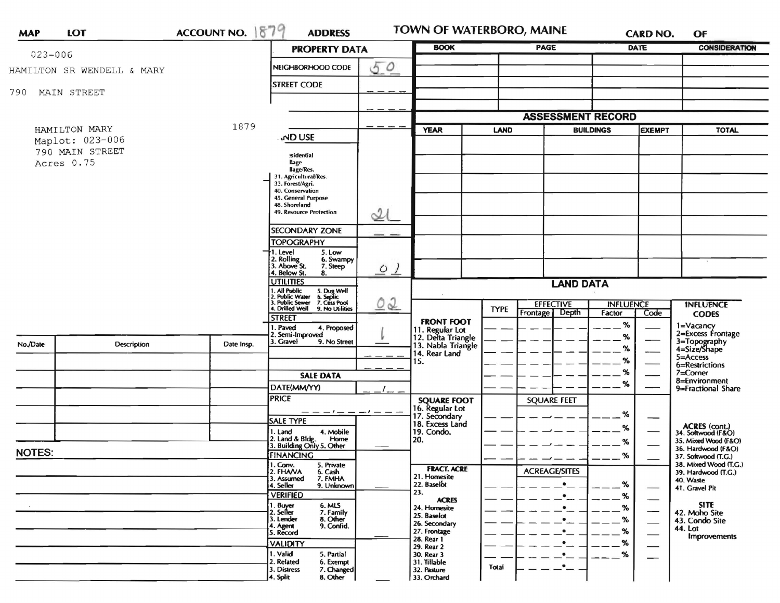| <b>MAP</b>                                                        | LOT         | <b>ACCOUNT NO.</b> | 1879<br><b>ADDRESS</b>                                                                                                    |                              | TOWN OF WATERBORO, MAINE              |                    |                                      |                          | <b>CARD NO.</b>               | OF                                           |
|-------------------------------------------------------------------|-------------|--------------------|---------------------------------------------------------------------------------------------------------------------------|------------------------------|---------------------------------------|--------------------|--------------------------------------|--------------------------|-------------------------------|----------------------------------------------|
| $023 - 006$                                                       |             |                    | <b>PROPERTY DATA</b>                                                                                                      |                              | <b>BOOK</b>                           |                    | <b>PAGE</b>                          | <b>DATE</b>              |                               | <b>CONSIDERATION</b>                         |
| HAMILTON SR WENDELL & MARY                                        |             |                    | NEIGHBORHOOD CODE                                                                                                         | 50                           |                                       |                    |                                      |                          |                               |                                              |
|                                                                   |             |                    | <b>STREET CODE</b>                                                                                                        |                              |                                       |                    |                                      |                          |                               |                                              |
| 790                                                               | MAIN STREET |                    |                                                                                                                           |                              |                                       |                    |                                      |                          |                               |                                              |
|                                                                   |             |                    |                                                                                                                           |                              |                                       |                    |                                      | <b>ASSESSMENT RECORD</b> |                               |                                              |
| HAMILTON MARY<br>Maplot: 023-006<br>790 MAIN STREET<br>Acres 0.75 |             | 1879               |                                                                                                                           |                              | <b>YEAR</b><br><b>LAND</b>            |                    | <b>BUILDINGS</b>                     |                          | <b>EXEMPT</b><br><b>TOTAL</b> |                                              |
|                                                                   |             |                    | <b>ND USE</b>                                                                                                             |                              |                                       |                    |                                      |                          |                               |                                              |
|                                                                   |             |                    | sidential<br>llage                                                                                                        |                              |                                       |                    |                                      |                          |                               |                                              |
|                                                                   |             |                    | llage/Res.<br>31. Agricultural/Res.                                                                                       |                              |                                       |                    |                                      |                          |                               |                                              |
|                                                                   |             |                    | 33. Forest/Agri.<br>40. Conservation<br>45. General Purpose                                                               |                              |                                       |                    |                                      |                          |                               |                                              |
|                                                                   |             |                    | 48. Shoreland<br>49. Resource Protection                                                                                  |                              |                                       |                    |                                      |                          |                               |                                              |
|                                                                   |             |                    |                                                                                                                           | $\mathcal{Q}(\mathcal{C})$   |                                       |                    |                                      |                          |                               |                                              |
|                                                                   |             |                    | <b>SECONDARY ZONE</b><br><b>TOPOGRAPHY</b>                                                                                |                              |                                       |                    |                                      |                          |                               |                                              |
|                                                                   |             |                    | 1. Level<br>5. Low<br>6. Swampy                                                                                           |                              |                                       |                    |                                      |                          |                               |                                              |
|                                                                   |             |                    | 2. Rolling<br>3. Above St.<br>7. Steep<br>4. Below St.<br>8.                                                              | $Q$ $\overline{\phantom{a}}$ |                                       |                    |                                      |                          |                               |                                              |
|                                                                   |             |                    | <b>UTILITIES</b>                                                                                                          | 02                           | <b>LAND DATA</b>                      |                    |                                      |                          |                               |                                              |
|                                                                   |             |                    | 1. All Public 5. Dug Well<br>2. Public Water 6. Septic<br>3. Public Sewer 7. Cess Pool<br>4. Drilled Well 9. No Utilities |                              |                                       |                    | <b>EFFECTIVE</b><br><b>INFLUENCE</b> |                          |                               | <b>INFLUENCE</b>                             |
|                                                                   |             |                    | <b>STREET</b>                                                                                                             |                              | <b>FRONT FOOT</b>                     | <b>TYPE</b>        | Depth<br>Frontage                    | Factor                   | Code                          | <b>CODES</b>                                 |
|                                                                   |             |                    | . Paved<br>4. Proposed<br>Semi-Improved                                                                                   |                              | 11. Regular Lot<br>12. Delta Triangle |                    |                                      | $\%$<br>%                |                               | 1=Vacancy<br>2=Excess Frontage               |
| No./Date                                                          | Description | Date Insp.         | . Gravel<br>9. No Street                                                                                                  |                              | 13. Nabla Triangle<br>14. Rear Land   |                    |                                      | $\%$                     |                               | 3=Topography<br>4=Size/Shape                 |
|                                                                   |             |                    |                                                                                                                           |                              | 15.                                   |                    |                                      | %                        |                               | 5=Access<br>6=Restrictions                   |
|                                                                   |             |                    | <b>SALE DATA</b>                                                                                                          | <b>SQUARE FOOT</b>           |                                       |                    |                                      | %<br>%                   |                               | $7 =$ Corner<br>8=Environment                |
|                                                                   |             |                    | DATE(MM/YY)<br><b>PRICE</b>                                                                                               |                              |                                       | <b>SQUARE FEET</b> |                                      |                          | 9=Fractional Share            |                                              |
|                                                                   |             |                    | $-1$ $ -1$ $ -$                                                                                                           |                              | 16. Regular Lot<br>17. Secondary      |                    |                                      | %                        |                               |                                              |
|                                                                   |             |                    | <b>SALE TYPE</b><br>4. Mobile<br>1. Land                                                                                  |                              | 18. Excess Land<br>19. Condo.         |                    |                                      | ℅                        |                               | ACRES (cont.)<br>34. Softwood (F&O)          |
|                                                                   |             |                    | 2. Land & Bldg. Home<br>3. Building Only 5. Other<br>Home                                                                 |                              | 20.                                   |                    |                                      | %                        |                               | 35. Mixed Wood (F&O)                         |
| <b>NOTES:</b>                                                     |             |                    | <b>FINANCING</b>                                                                                                          |                              |                                       |                    |                                      | %                        |                               | 36. Hardwood (F&O)<br>37. Softwood (T.G.)    |
|                                                                   |             |                    | 1. Conv.<br>5. Private<br>2. FHANA<br>6. Cash                                                                             |                              | <b>FRACT. ACRE</b><br>21. Homesite    |                    | <b>ACREAGE/SITES</b>                 |                          |                               | 38. Mixed Wood (T.G.)<br>39. Hardwood (T.G.) |
|                                                                   |             |                    | 3. Assumed<br>7. FMHA<br>4. Seller<br>9. Unknown                                                                          |                              | 22. Baselot<br>23.                    |                    |                                      | %                        |                               | 40. Waste<br>41. Gravel Pit                  |
|                                                                   |             |                    | <b>VERIFIED</b><br>1. Buyer<br>2. Seller<br>6. MLS<br>7. Family                                                           |                              | <b>ACRES</b><br>24. Homesite          |                    |                                      | %<br>%                   |                               | <b>SITE</b>                                  |
|                                                                   |             |                    | 3. Lender<br>8. Other                                                                                                     |                              | 25. Baselot<br>26. Secondary          |                    |                                      | $\%$                     |                               | 42. Moho Site<br>43. Condo Site              |
|                                                                   |             |                    | 9. Confid.<br>4. Agent<br>5. Record                                                                                       |                              | 27. Frontage<br>28. Rear 1            |                    |                                      | $\%$                     | $\overline{\phantom{a}}$      | 44. Lot<br>Improvements                      |
|                                                                   |             |                    | <b>VALIDITY</b><br>1. Valid<br>5. Partial                                                                                 |                              | 29. Rear 2<br>30. Rear 3              |                    |                                      | %<br>%                   |                               |                                              |
|                                                                   |             |                    | 2. Related<br>6. Exempt<br>3. Distress<br>7. Changed                                                                      |                              | 31. Tillable<br>32. Pasture           | Total              |                                      |                          |                               |                                              |
|                                                                   |             |                    | 4. Split<br>8. Other                                                                                                      |                              | 33. Orchard                           |                    |                                      |                          |                               |                                              |